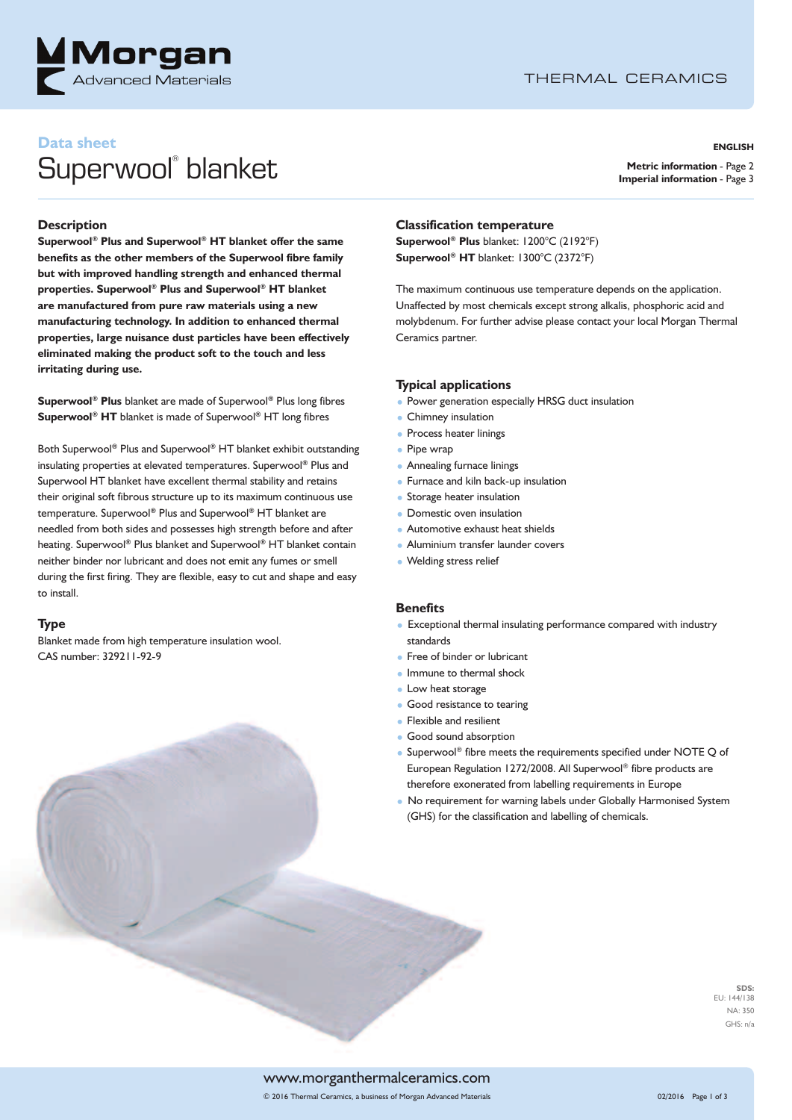

# THERMAL CERAMICS

# **Data sheet** Superwool ® blanket

#### **ENGLISH**

**Metric information** - Page 2 **Imperial information** - Page 3

#### **Description**

**Superwool ® Plus and Superwool ® HT blanket offer the same benefits as the other members of the Superwool fibre family but with improved handling strength and enhanced thermal properties. Superwool ® Plus and Superwool ® HT blanket are manufactured from pure raw materials using a new manufacturing technology. In addition to enhanced thermal properties, large nuisance dust particles have been effectively eliminated making the product soft to the touch and less irritating during use.**

**Superwool ® Plus** blanket are made of Superwool **®** Plus long fibres **Superwool ® HT** blanket is made of Superwool **®** HT long fibres

Both Superwool **®** Plus and Superwool **®** HT blanket exhibit outstanding insulating properties at elevated temperatures. Superwool **®** Plus and Superwool HT blanket have excellent thermal stability and retains their original soft fibrous structure up to its maximum continuous use temperature. Superwool **®** Plus and Superwool **®** HT blanket are needled from both sides and possesses high strength before and after heating. Superwool **®** Plus blanket and Superwool **®** HT blanket contain neither binder nor lubricant and does not emit any fumes or smell during the first firing. They are flexible, easy to cut and shape and easy to install.

#### **Type**

Blanket made from high temperature insulation wool. CAS number: 329211-92-9

#### **Classification temperature**

**Superwool ® Plus** blanket: 1200°C (2192°F) **Superwool ® HT** blanket: 1300°C (2372°F)

The maximum continuous use temperature depends on the application. Unaffected by most chemicals except strong alkalis, phosphoric acid and molybdenum. For further advise please contact your local Morgan Thermal Ceramics partner.

#### **Typical applications**

- Power generation especially HRSG duct insulation
- Chimney insulation
- Process heater linings
- Pipe wrap
- Annealing furnace linings
- Furnace and kiln back-up insulation
- Storage heater insulation
- Domestic oven insulation
- Automotive exhaust heat shields
- Aluminium transfer launder covers
- Welding stress relief

#### **Benefits**

- Exceptional thermal insulating performance compared with industry standards
- Free of binder or lubricant
- Immune to thermal shock
- Low heat storage
- Good resistance to tearing
- Flexible and resilient
- Good sound absorption
- Superwool® fibre meets the requirements specified under NOTE Q of European Regulation 1272/2008. All Superwool ® fibre products are therefore exonerated from labelling requirements in Europe
- No requirement for warning labels under Globally Harmonised System (GHS) for the classification and labelling of chemicals.

**SDS:** EU: 144/138 NA: 350 GHS: n/a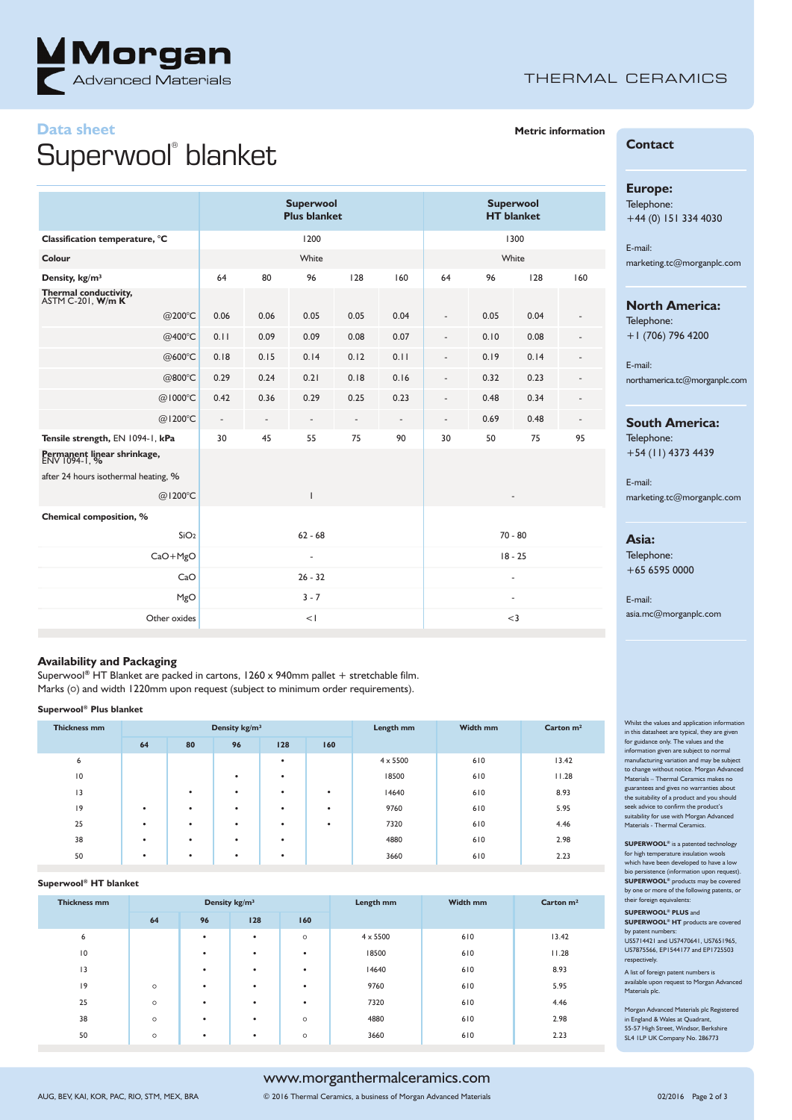

# THERMAL CERAMICS

# **Data sheet** Superwool ® blanket

|                                              |                          |                          | <b>Superwool</b><br><b>Plus blanket</b> | <b>Superwool</b><br><b>HT</b> blanket |                          |                              |      |      |     |
|----------------------------------------------|--------------------------|--------------------------|-----------------------------------------|---------------------------------------|--------------------------|------------------------------|------|------|-----|
| Classification temperature, °C               |                          |                          | 1200                                    | 1300                                  |                          |                              |      |      |     |
| Colour                                       |                          |                          | White                                   |                                       |                          | White                        |      |      |     |
| Density, kg/m <sup>3</sup>                   | 64                       | 80                       | 96                                      | 128                                   | 160                      | 64                           | 96   | 128  | 160 |
| Thermal conductivity,<br>ASTM C-201, W/m K   |                          |                          |                                         |                                       |                          |                              |      |      |     |
| @200°C                                       | 0.06                     | 0.06                     | 0.05                                    | 0.05                                  | 0.04                     | ÷,                           | 0.05 | 0.04 |     |
| @400°C                                       | 0.11                     | 0.09                     | 0.09                                    | 0.08                                  | 0.07                     | $\qquad \qquad \blacksquare$ | 0.10 | 0.08 |     |
| @600°C                                       | 0.18                     | 0.15                     | 0.14                                    | 0.12                                  | 0.11                     |                              | 0.19 | 0.14 |     |
| @800°C                                       | 0.29                     | 0.24                     | 0.21                                    | 0.18                                  | 0.16                     | ٠                            | 0.32 | 0.23 |     |
| @1000°C                                      | 0.42                     | 0.36                     | 0.29                                    | 0.25                                  | 0.23                     |                              | 0.48 | 0.34 |     |
| @1200°C                                      | $\overline{\phantom{a}}$ | $\overline{\phantom{a}}$ | $\overline{\phantom{a}}$                | $\overline{\phantom{a}}$              | $\overline{\phantom{a}}$ | ٠                            | 0.69 | 0.48 |     |
| Tensile strength, EN 1094-1, kPa             | 30                       | 45                       | 55                                      | 75                                    | 90                       | 30                           | 50   | 75   | 95  |
| Permanent linear shrinkage,<br>ENV 1094-1, % |                          |                          |                                         |                                       |                          |                              |      |      |     |
| after 24 hours isothermal heating, %         |                          |                          |                                         |                                       |                          |                              |      |      |     |
| @1200°C                                      |                          |                          | T                                       |                                       |                          |                              |      |      |     |
| Chemical composition, %                      |                          |                          |                                         |                                       |                          |                              |      |      |     |
| SiO <sub>2</sub>                             | $62 - 68$                |                          |                                         |                                       |                          | $70 - 80$                    |      |      |     |
| $CaO+MgO$                                    | -                        |                          |                                         |                                       |                          | $18 - 25$                    |      |      |     |
| CaO                                          |                          |                          | $26 - 32$                               |                                       |                          | $\overline{\phantom{a}}$     |      |      |     |
| MgO                                          | $3 - 7$                  |                          |                                         |                                       |                          | $\overline{\phantom{a}}$     |      |      |     |
| Other oxides                                 | <                        |                          |                                         |                                       |                          | $<$ 3                        |      |      |     |

#### **Availability and Packaging**

Superwool **®** HT Blanket are packed in cartons, 1260 x 940mm pallet + stretchable film. Marks (o) and width 1220mm upon request (subject to minimum order requirements).

#### **Superwool ® Plus blanket**

| <b>Thickness mm</b> |           |    | Density kg/m <sup>3</sup> |     |           | Length mm       | Width mm | Carton $m2$ |  |
|---------------------|-----------|----|---------------------------|-----|-----------|-----------------|----------|-------------|--|
|                     | 64        | 80 | 96                        | 128 | 160       |                 |          |             |  |
| 6                   |           |    |                           | ٠   |           | $4 \times 5500$ | 610      | 13.42       |  |
| $\overline{10}$     |           |    | ٠                         | ٠   |           | 18500           | 610      | 11.28       |  |
| 13                  |           | ٠  | ٠                         | ٠   | $\bullet$ | 14640           | 610      | 8.93        |  |
| 9                   | $\bullet$ | ٠  | ٠                         | ٠   | ٠         | 9760            | 610      | 5.95        |  |
| 25                  | $\bullet$ | ٠  | ٠                         | ٠   | ٠         | 7320            | 610      | 4.46        |  |
| 38                  | $\bullet$ | ٠  | ٠                         | ٠   |           | 4880            | 610      | 2.98        |  |
| 50                  | $\bullet$ | ٠  | ٠                         | ٠   |           | 3660            | 610      | 2.23        |  |

#### **Superwool ® HT blanket**

| <b>Thickness mm</b> |         |    | Density kg/m <sup>3</sup> |         | Length mm       | Width mm | Carton $m2$ |  |
|---------------------|---------|----|---------------------------|---------|-----------------|----------|-------------|--|
|                     | 64      | 96 | 128                       | 160     |                 |          |             |  |
| 6                   |         | ٠  | ٠                         | $\circ$ | $4 \times 5500$ | 610      | 13.42       |  |
| $\overline{10}$     |         | ٠  | ٠                         | ٠       | 18500           | 610      | 11.28       |  |
| 3                   |         | ٠  | ٠                         | ٠       | 14640           | 610      | 8.93        |  |
| 9                   | $\circ$ | ٠  | ٠                         | ٠       | 9760            | 610      | 5.95        |  |
| 25                  | $\circ$ | ٠  | ٠                         | ٠       | 7320            | 610      | 4.46        |  |
| 38                  | $\circ$ | ٠  | ٠                         | $\circ$ | 4880            | 610      | 2.98        |  |
| 50                  | $\circ$ | ٠  | ٠                         | $\circ$ | 3660            | 610      | 2.23        |  |

# **Metric information**

# **Contact**

### **Europe:**

Telephone: +44 (0) 151 334 4030

E-mail: marketing.tc@morganplc.com

# **North America:**

Telephone: +1 (706) 796 4200

E-mail: northamerica.tc@morganplc.com

#### **South America:**

Telephone: +54 (11) 4373 4439

#### E-mail:

marketing.tc@morganplc.com

#### **Asia:**

Telephone: +65 6595 0000

E-mail: asia.mc@morganplc.com

Whilst the values and application inform in this datasheet are typical, they are given for guidance only. The values and the information given are subject to normal manufacturing variation and may be subject to change without notice. Morgan Advanced Materials – Thermal Ceramics makes no guarantees and gives no warranties about the suitability of a product and you should seek advice to confirm the product's suitability for use with Morgan Advanced Materials - Thermal Ceramics.

**SUPERWOOL®** is a patented technology for high temperature insulation wools which have been developed to have a low bio persistence (information upon request). **SUPERWOOL®** products may be covered by one or more of the following patents, or  $t$ heir foreign equiva

**SUPERWOOL® PLUS** and **SUPERWOOL® HT** products are covered by patent numbers: US5714421 and US7470641, US7651965, US7875566, EP1544177 and EP1725503 respectively.

A list of foreign patent numbers is available upon request to Morgan Advanced Materials plc.

Morgan Advanced Materials plc Registered in England & Wales at Quadrant, 55-57 High Street, Windsor, Berkshire SL4 1LP UK Company No. 286773

# www.morganthermalceramics.com

AUG, BEV, KAI, KOR, PAC, RIO, STM, MEX, BRA © 2016 Thermal Ceramics, a business of Morgan Advanced Materials 02/2016 Page 2 of 3